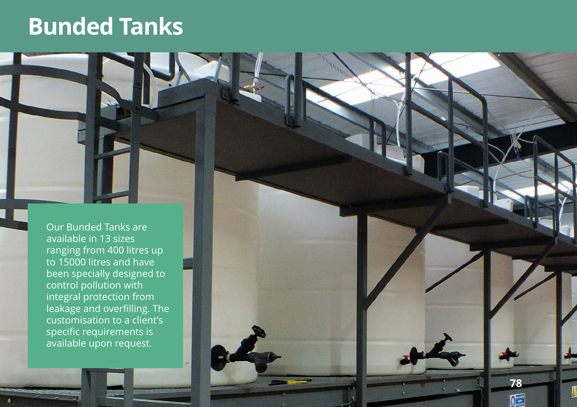# **Bunded Tanks**

Our Bunded Tanks are available in 13 sizes ranging from 400 litres up to 15000 litres and have been specially designed to control pollution with integral protection from leakage and overfilling. The customisation to a client's specific requirements is available upon request.

**7 8**

Œ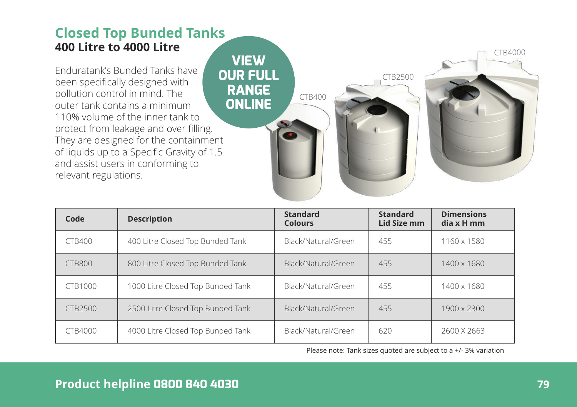## **Closed Top Bunded Tanks 400 Litre to 4000 Litre**

Enduratank's Bunded Tanks have been specifically designed with pollution control in mind. The outer tank contains a minimum 110% volume of the inner tank to protect from leakage and over filling. They are designed for the containment of liquids up to a Specific Gravity of 1.5 and assist users in conforming to relevant regulations.



| Code           | <b>Description</b>                | <b>Standard</b><br><b>Colours</b> | <b>Standard</b><br>Lid Size mm | <b>Dimensions</b><br>dia x H mm |
|----------------|-----------------------------------|-----------------------------------|--------------------------------|---------------------------------|
| <b>CTB400</b>  | 400 Litre Closed Top Bunded Tank  | Black/Natural/Green               | 455                            | 1160 x 1580                     |
| CTB800         | 800 Litre Closed Top Bunded Tank  | Black/Natural/Green               | 455                            | 1400 x 1680                     |
| <b>CTB1000</b> | 1000 Litre Closed Top Bunded Tank | Black/Natural/Green               | 455                            | 1400 x 1680                     |
| <b>CTB2500</b> | 2500 Litre Closed Top Bunded Tank | Black/Natural/Green               | 455                            | 1900 x 2300                     |
| CTB4000        | 4000 Litre Closed Top Bunded Tank | Black/Natural/Green               | 620                            | 2600 X 2663                     |

Please note: Tank sizes quoted are subject to a +/- 3% variation

#### **Product helpline 0800 840 4030 79**